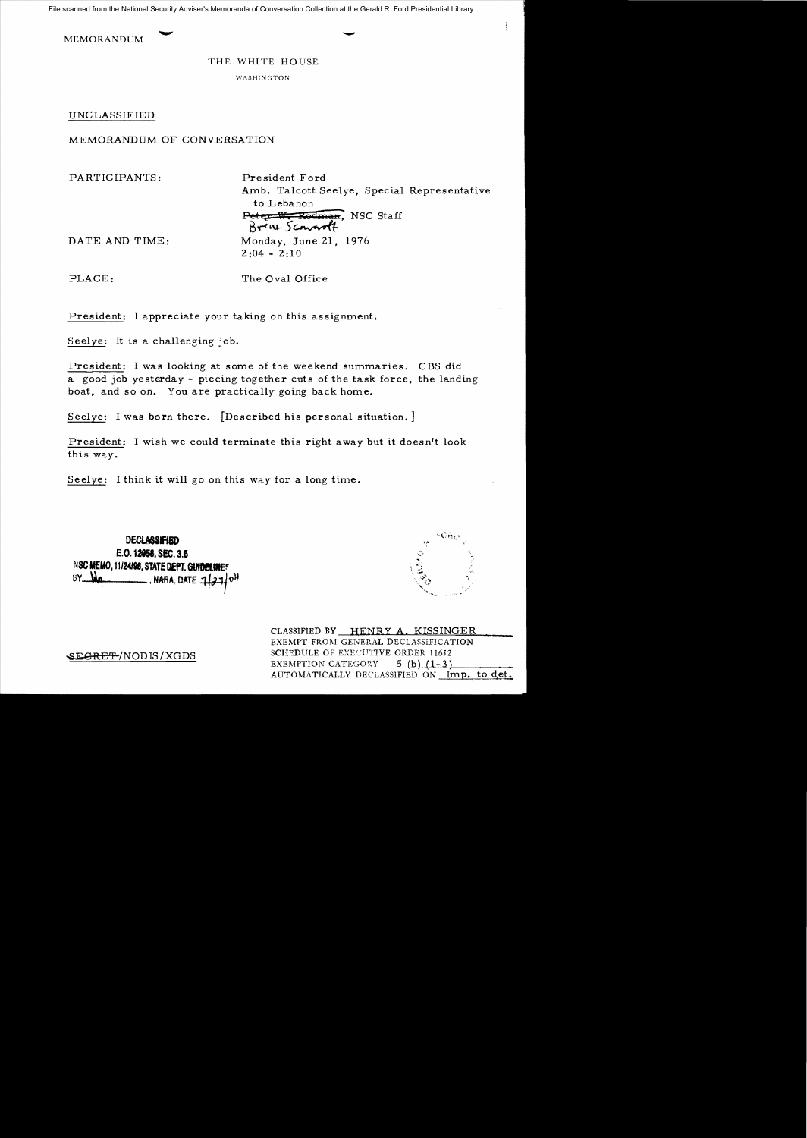File scanned from the National Security Adviser's Memoranda of Conversation Collection at the Gerald R. Ford Presidential Library

MEMORANDUM  $\longrightarrow$ 

## THE WHITE HOUSE

WASHINGTON

UNCLASSIFIED

MEMORANDUM OF CONVERSATION

PARTICIPANTS: President Ford

Amb. Talcott Seelye, Special Representative to Lebanon Peter W. Redman, NSC Staff Brint Sconnolt DATE AND TIME: Monday, June 21, 1976

PLACE: The Oval Office

 $2:04 - 2:10$ 

President: I appreciate your taking on this assignment.

Seelye: It is a challenging job.

President: I was looking at some of the weekend summaries. CBS did a good job yesterday - piecing together cuts of the task force, the landing boat, and so on. You are practically going back home.

Seelye: I was born there. [Described his personal situation. ]

President: I wish we could terminate this right away but it doesn't look this way.

Seelye: I think it will go on this way for a long time.

**DECLASSIFIED** E.O. 12858, SEC. 3.1 N**SC MEMO, 11/24/98, STATE DEPT. GUIDELINE**S  $\_$  , NARA, DATE  $\mathcal{A}$ 



ļ

CLASSIFIED BY HENRY A. KISSINGER EXEMPT FROM GENERAL DECLASSIFICATION **EXECRET-/NODIS/XGDS** SCHEDULE OF EXECUTIVE ORDER 11652<br>EXEMPTION CATEGORY 5 (b) (1-3) EXEMPTION CATEGORY AUTOMATICALLY DECLASSIFIED ON Imp. to det.